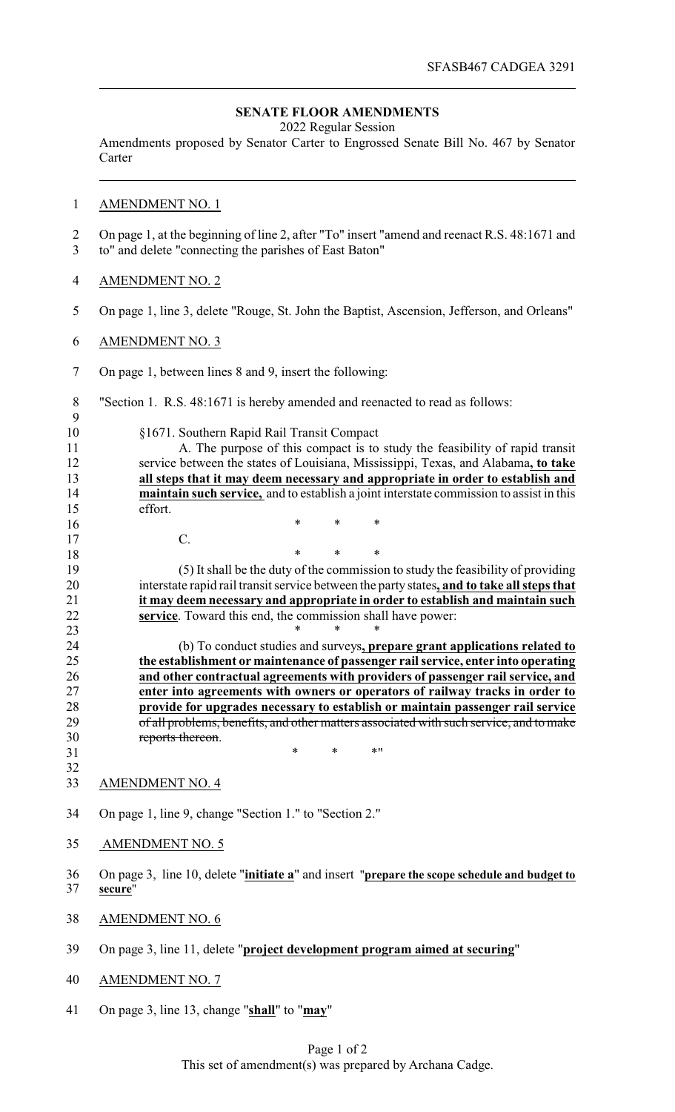## **SENATE FLOOR AMENDMENTS**

2022 Regular Session

Amendments proposed by Senator Carter to Engrossed Senate Bill No. 467 by Senator Carter

## AMENDMENT NO. 1

 On page 1, at the beginning of line 2, after "To" insert "amend and reenact R.S. 48:1671 and to" and delete "connecting the parishes of East Baton"

- AMENDMENT NO. 2
- On page 1, line 3, delete "Rouge, St. John the Baptist, Ascension, Jefferson, and Orleans"
- AMENDMENT NO. 3

C.

On page 1, between lines 8 and 9, insert the following:

\* \* \*

"Section 1. R.S. 48:1671 is hereby amended and reenacted to read as follows:

| 10 | §1671. Southern Rapid Rail Transit Compact                                                     |
|----|------------------------------------------------------------------------------------------------|
| 11 | A. The purpose of this compact is to study the feasibility of rapid transit                    |
| 12 | service between the states of Louisiana, Mississippi, Texas, and Alabama, to take              |
| 13 | all steps that it may deem necessary and appropriate in order to establish and                 |
| 14 | <b>maintain such service,</b> and to establish a joint interstate commission to assist in this |
| 15 | effort.                                                                                        |

 \* \* \* (5) It shall be the duty of the commission to study the feasibility of providing interstate rapid rail transit service between the party states**, and to take all steps that it may deem necessary and appropriate in order to establish and maintain such service**. Toward this end, the commission shall have power:

**\*** \* \* \* (b) To conduct studies and surveys**, prepare grant applications related to the establishment or maintenance of passenger rail service, enter into operating and other contractual agreements with providers of passenger rail service, and enter into agreements with owners or operators of railway tracks in order to provide for upgrades necessary to establish or maintain passenger rail service** of all problems, benefits, and other matters associated with such service, and to make reports thereon.

- AMENDMENT NO. 4
- On page 1, line 9, change "Section 1." to "Section 2."

31 \* \* \* \* \* \*

- 35 AMENDMENT NO. 5
- On page 3, line 10, delete "**initiate a**" and insert "**prepare the scope schedule and budget to secure**"
- AMENDMENT NO. 6
- On page 3, line 11, delete "**project development program aimed at securing**"
- AMENDMENT NO. 7
- On page 3, line 13, change "**shall**" to "**may**"